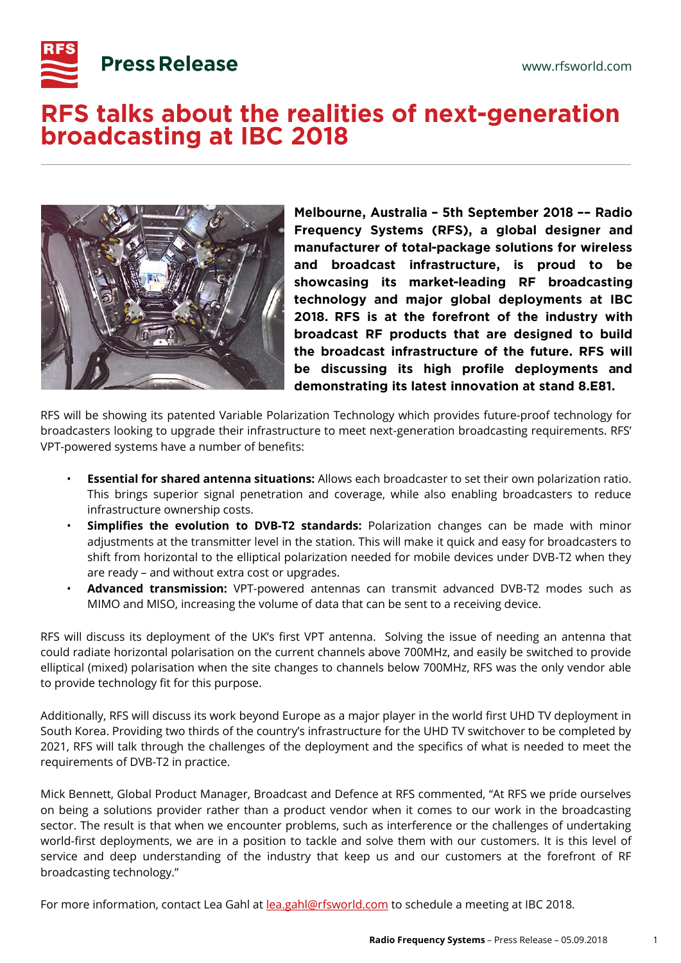

## **Press Release**

## RFS talks about the realities of next-generation **broadcasting at IBC 2018**



Melbourne, Australia - 5th September 2018 -- Radio Frequency Systems (RFS), a global designer and manufacturer of total-package solutions for wireless and broadcast infrastructure, is proud to be showcasing its market-leading RF broadcasting technology and major global deployments at IBC 2018. RFS is at the forefront of the industry with broadcast RF products that are designed to build the broadcast infrastructure of the future. RFS will be discussing its high profile deployments and demonstrating its latest innovation at stand 8.E81.

RFS will be showing its patented Variable Polarization Technology which provides future-proof technology for broadcasters looking to upgrade their infrastructure to meet next-generation broadcasting requirements. RFS' VPT-powered systems have a number of benefits:

- **Essential for shared antenna situations:** Allows each broadcaster to set their own polarization ratio. This brings superior signal penetration and coverage, while also enabling broadcasters to reduce infrastructure ownership costs.
- **Simplifies the evolution to DVB-T2 standards:** Polarization changes can be made with minor adjustments at the transmitter level in the station. This will make it quick and easy for broadcasters to shift from horizontal to the elliptical polarization needed for mobile devices under DVB-T2 when they are ready – and without extra cost or upgrades.
- **Advanced transmission:** VPT-powered antennas can transmit advanced DVB-T2 modes such as MIMO and MISO, increasing the volume of data that can be sent to a receiving device.

RFS will discuss its deployment of the UK's first VPT antenna. Solving the issue of needing an antenna that could radiate horizontal polarisation on the current channels above 700MHz, and easily be switched to provide elliptical (mixed) polarisation when the site changes to channels below 700MHz, RFS was the only vendor able to provide technology fit for this purpose.

Additionally, RFS will discuss its work beyond Europe as a major player in the world first UHD TV deployment in South Korea. Providing two thirds of the country's infrastructure for the UHD TV switchover to be completed by 2021, RFS will talk through the challenges of the deployment and the specifics of what is needed to meet the requirements of DVB-T2 in practice.

Mick Bennett, Global Product Manager, Broadcast and Defence at RFS commented, "At RFS we pride ourselves on being a solutions provider rather than a product vendor when it comes to our work in the broadcasting sector. The result is that when we encounter problems, such as interference or the challenges of undertaking world-first deployments, we are in a position to tackle and solve them with our customers. It is this level of service and deep understanding of the industry that keep us and our customers at the forefront of RF broadcasting technology."

For more information, contact Lea Gahl at **lea.gahl@rfsworld.com** to schedule a meeting at IBC 2018.